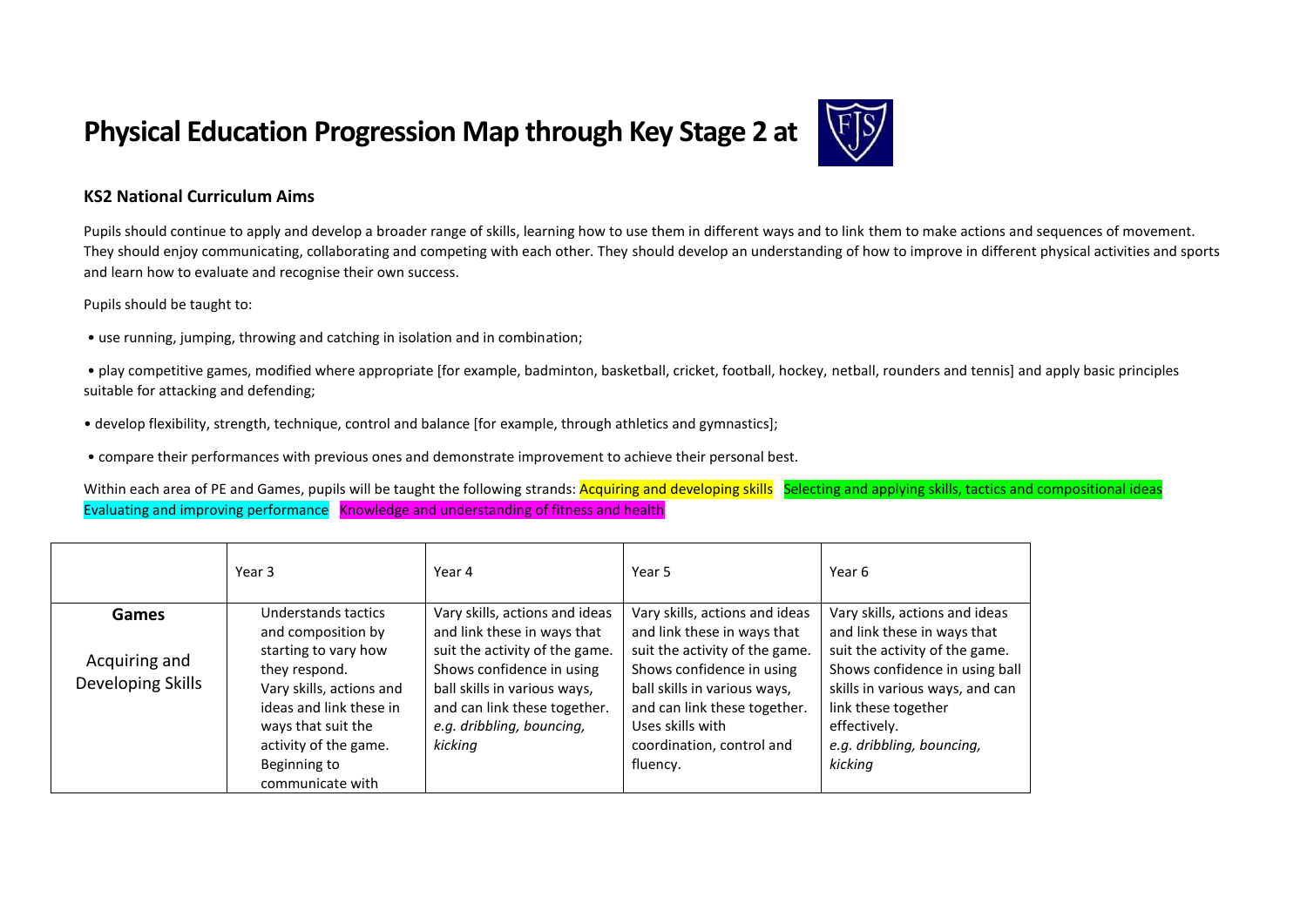## **Physical Education Progression Map through Key Stage 2 at**



## **KS2 National Curriculum Aims**

Pupils should continue to apply and develop a broader range of skills, learning how to use them in different ways and to link them to make actions and sequences of movement. They should enjoy communicating, collaborating and competing with each other. They should develop an understanding of how to improve in different physical activities and sports and learn how to evaluate and recognise their own success.

Pupils should be taught to:

• use running, jumping, throwing and catching in isolation and in combination;

• play competitive games, modified where appropriate [for example, badminton, basketball, cricket, football, hockey, netball, rounders and tennis] and apply basic principles suitable for attacking and defending;

- develop flexibility, strength, technique, control and balance [for example, through athletics and gymnastics];
- compare their performances with previous ones and demonstrate improvement to achieve their personal best.

Within each area of PE and Games, pupils will be taught the following strands: Acquiring and developing skills Selecting and applying skills, tactics and compositional ideas Evaluating and improving performance Knowledge and understanding of fitness and health

|                                             | Year 3                                                                                                                                                                                                                       | Year 4                                                                                                                                                                                                                               | Year 5                                                                                                                                                                                                                                                    | Year 6                                                                                                                                                                                                                                              |
|---------------------------------------------|------------------------------------------------------------------------------------------------------------------------------------------------------------------------------------------------------------------------------|--------------------------------------------------------------------------------------------------------------------------------------------------------------------------------------------------------------------------------------|-----------------------------------------------------------------------------------------------------------------------------------------------------------------------------------------------------------------------------------------------------------|-----------------------------------------------------------------------------------------------------------------------------------------------------------------------------------------------------------------------------------------------------|
| Games<br>Acquiring and<br>Developing Skills | Understands tactics<br>and composition by<br>starting to vary how<br>they respond.<br>Vary skills, actions and<br>ideas and link these in<br>ways that suit the<br>activity of the game.<br>Beginning to<br>communicate with | Vary skills, actions and ideas<br>and link these in ways that<br>suit the activity of the game.<br>Shows confidence in using<br>ball skills in various ways,<br>and can link these together.<br>e.g. dribbling, bouncing,<br>kicking | Vary skills, actions and ideas<br>and link these in ways that<br>suit the activity of the game.<br>Shows confidence in using<br>ball skills in various ways,<br>and can link these together.<br>Uses skills with<br>coordination, control and<br>fluency. | Vary skills, actions and ideas<br>and link these in ways that<br>suit the activity of the game.<br>Shows confidence in using ball<br>skills in various ways, and can<br>link these together<br>effectively.<br>e.g. dribbling, bouncing,<br>kicking |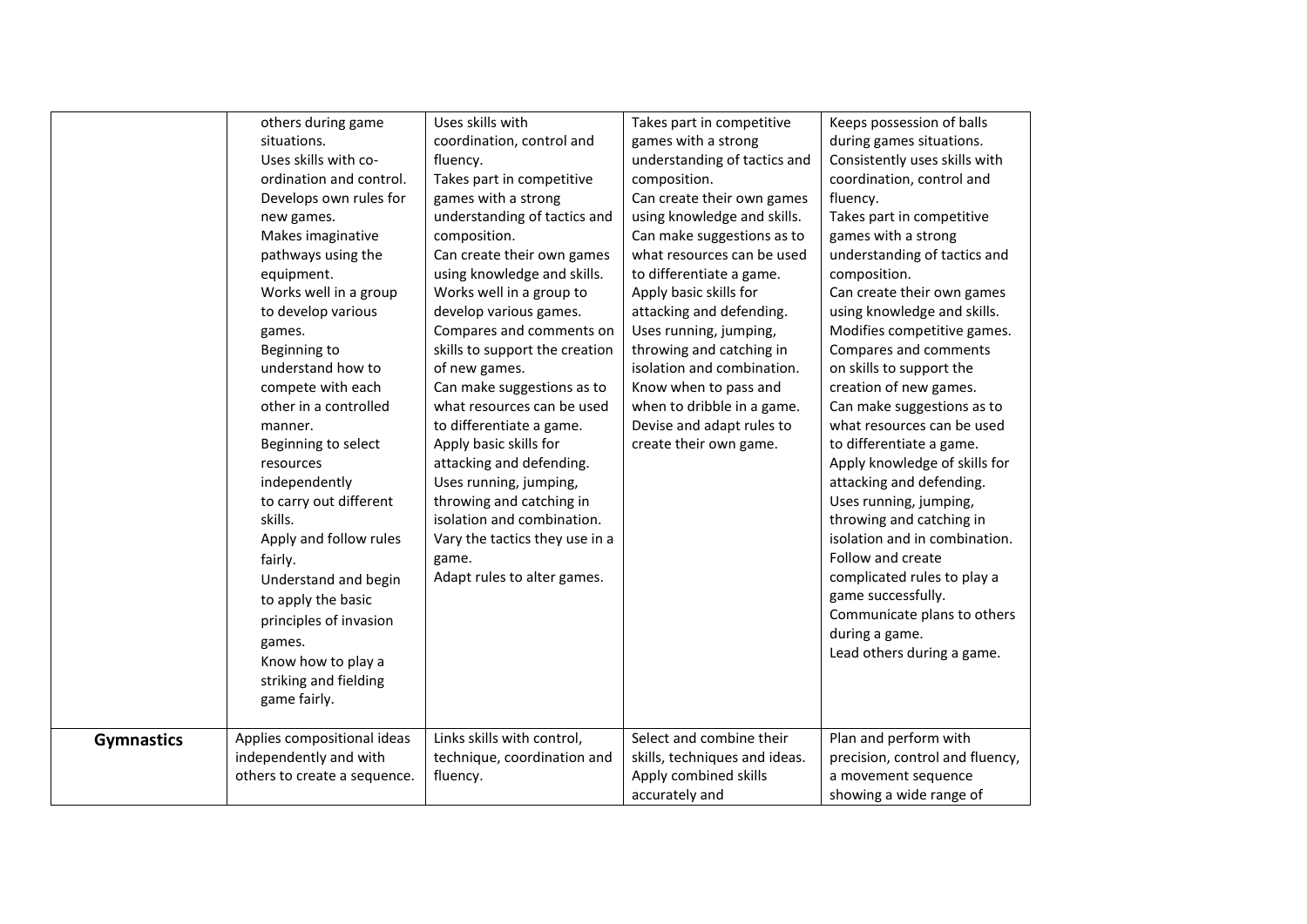|                   | others during game<br>situations.<br>Uses skills with co-<br>ordination and control.<br>Develops own rules for<br>new games.<br>Makes imaginative<br>pathways using the<br>equipment.<br>Works well in a group<br>to develop various<br>games.<br>Beginning to<br>understand how to<br>compete with each<br>other in a controlled<br>manner.<br>Beginning to select<br>resources<br>independently<br>to carry out different<br>skills.<br>Apply and follow rules<br>fairly.<br>Understand and begin<br>to apply the basic<br>principles of invasion | Uses skills with<br>coordination, control and<br>fluency.<br>Takes part in competitive<br>games with a strong<br>understanding of tactics and<br>composition.<br>Can create their own games<br>using knowledge and skills.<br>Works well in a group to<br>develop various games.<br>Compares and comments on<br>skills to support the creation<br>of new games.<br>Can make suggestions as to<br>what resources can be used<br>to differentiate a game.<br>Apply basic skills for<br>attacking and defending.<br>Uses running, jumping,<br>throwing and catching in<br>isolation and combination.<br>Vary the tactics they use in a<br>game.<br>Adapt rules to alter games. | Takes part in competitive<br>games with a strong<br>understanding of tactics and<br>composition.<br>Can create their own games<br>using knowledge and skills.<br>Can make suggestions as to<br>what resources can be used<br>to differentiate a game.<br>Apply basic skills for<br>attacking and defending.<br>Uses running, jumping,<br>throwing and catching in<br>isolation and combination.<br>Know when to pass and<br>when to dribble in a game.<br>Devise and adapt rules to<br>create their own game. | Keeps possession of balls<br>during games situations.<br>Consistently uses skills with<br>coordination, control and<br>fluency.<br>Takes part in competitive<br>games with a strong<br>understanding of tactics and<br>composition.<br>Can create their own games<br>using knowledge and skills.<br>Modifies competitive games.<br>Compares and comments<br>on skills to support the<br>creation of new games.<br>Can make suggestions as to<br>what resources can be used<br>to differentiate a game.<br>Apply knowledge of skills for<br>attacking and defending.<br>Uses running, jumping,<br>throwing and catching in<br>isolation and in combination.<br>Follow and create<br>complicated rules to play a<br>game successfully.<br>Communicate plans to others |
|-------------------|-----------------------------------------------------------------------------------------------------------------------------------------------------------------------------------------------------------------------------------------------------------------------------------------------------------------------------------------------------------------------------------------------------------------------------------------------------------------------------------------------------------------------------------------------------|-----------------------------------------------------------------------------------------------------------------------------------------------------------------------------------------------------------------------------------------------------------------------------------------------------------------------------------------------------------------------------------------------------------------------------------------------------------------------------------------------------------------------------------------------------------------------------------------------------------------------------------------------------------------------------|---------------------------------------------------------------------------------------------------------------------------------------------------------------------------------------------------------------------------------------------------------------------------------------------------------------------------------------------------------------------------------------------------------------------------------------------------------------------------------------------------------------|---------------------------------------------------------------------------------------------------------------------------------------------------------------------------------------------------------------------------------------------------------------------------------------------------------------------------------------------------------------------------------------------------------------------------------------------------------------------------------------------------------------------------------------------------------------------------------------------------------------------------------------------------------------------------------------------------------------------------------------------------------------------|
|                   | games.<br>Know how to play a<br>striking and fielding<br>game fairly.                                                                                                                                                                                                                                                                                                                                                                                                                                                                               |                                                                                                                                                                                                                                                                                                                                                                                                                                                                                                                                                                                                                                                                             |                                                                                                                                                                                                                                                                                                                                                                                                                                                                                                               | during a game.<br>Lead others during a game.                                                                                                                                                                                                                                                                                                                                                                                                                                                                                                                                                                                                                                                                                                                        |
| <b>Gymnastics</b> | Applies compositional ideas<br>independently and with<br>others to create a sequence.                                                                                                                                                                                                                                                                                                                                                                                                                                                               | Links skills with control,<br>technique, coordination and<br>fluency.                                                                                                                                                                                                                                                                                                                                                                                                                                                                                                                                                                                                       | Select and combine their<br>skills, techniques and ideas.<br>Apply combined skills<br>accurately and                                                                                                                                                                                                                                                                                                                                                                                                          | Plan and perform with<br>precision, control and fluency,<br>a movement sequence<br>showing a wide range of                                                                                                                                                                                                                                                                                                                                                                                                                                                                                                                                                                                                                                                          |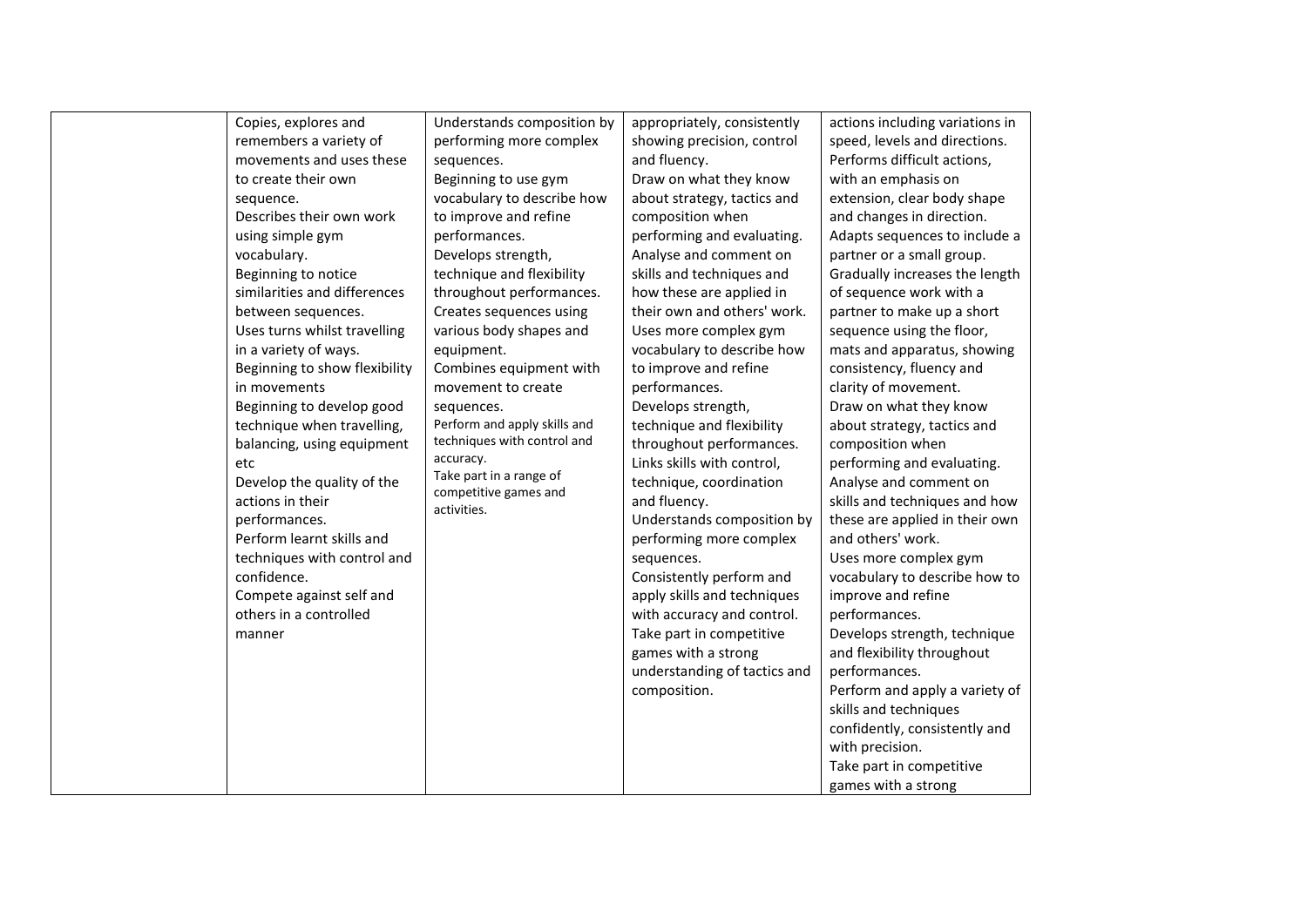| Copies, explores and          | Understands composition by                       | appropriately, consistently  | actions including variations in |
|-------------------------------|--------------------------------------------------|------------------------------|---------------------------------|
| remembers a variety of        | performing more complex                          | showing precision, control   | speed, levels and directions.   |
| movements and uses these      | sequences.                                       | and fluency.                 | Performs difficult actions,     |
| to create their own           | Beginning to use gym                             | Draw on what they know       | with an emphasis on             |
| sequence.                     | vocabulary to describe how                       | about strategy, tactics and  | extension, clear body shape     |
| Describes their own work      | to improve and refine                            | composition when             | and changes in direction.       |
| using simple gym              | performances.                                    | performing and evaluating.   | Adapts sequences to include a   |
| vocabulary.                   | Develops strength,                               | Analyse and comment on       | partner or a small group.       |
| Beginning to notice           | technique and flexibility                        | skills and techniques and    | Gradually increases the length  |
| similarities and differences  | throughout performances.                         | how these are applied in     | of sequence work with a         |
| between sequences.            | Creates sequences using                          | their own and others' work.  | partner to make up a short      |
| Uses turns whilst travelling  | various body shapes and                          | Uses more complex gym        | sequence using the floor,       |
| in a variety of ways.         | equipment.                                       | vocabulary to describe how   | mats and apparatus, showing     |
| Beginning to show flexibility | Combines equipment with                          | to improve and refine        | consistency, fluency and        |
| in movements                  | movement to create                               | performances.                | clarity of movement.            |
| Beginning to develop good     | sequences.                                       | Develops strength,           | Draw on what they know          |
| technique when travelling,    | Perform and apply skills and                     | technique and flexibility    | about strategy, tactics and     |
| balancing, using equipment    | techniques with control and                      | throughout performances.     | composition when                |
| etc                           | accuracy.                                        | Links skills with control,   | performing and evaluating.      |
| Develop the quality of the    | Take part in a range of<br>competitive games and | technique, coordination      | Analyse and comment on          |
| actions in their              | activities.                                      | and fluency.                 | skills and techniques and how   |
| performances.                 |                                                  | Understands composition by   | these are applied in their own  |
| Perform learnt skills and     |                                                  | performing more complex      | and others' work.               |
| techniques with control and   |                                                  | sequences.                   | Uses more complex gym           |
| confidence.                   |                                                  | Consistently perform and     | vocabulary to describe how to   |
| Compete against self and      |                                                  | apply skills and techniques  | improve and refine              |
| others in a controlled        |                                                  | with accuracy and control.   | performances.                   |
| manner                        |                                                  | Take part in competitive     | Develops strength, technique    |
|                               |                                                  | games with a strong          | and flexibility throughout      |
|                               |                                                  | understanding of tactics and | performances.                   |
|                               |                                                  | composition.                 | Perform and apply a variety of  |
|                               |                                                  |                              | skills and techniques           |
|                               |                                                  |                              | confidently, consistently and   |
|                               |                                                  |                              | with precision.                 |
|                               |                                                  |                              | Take part in competitive        |
|                               |                                                  |                              | games with a strong             |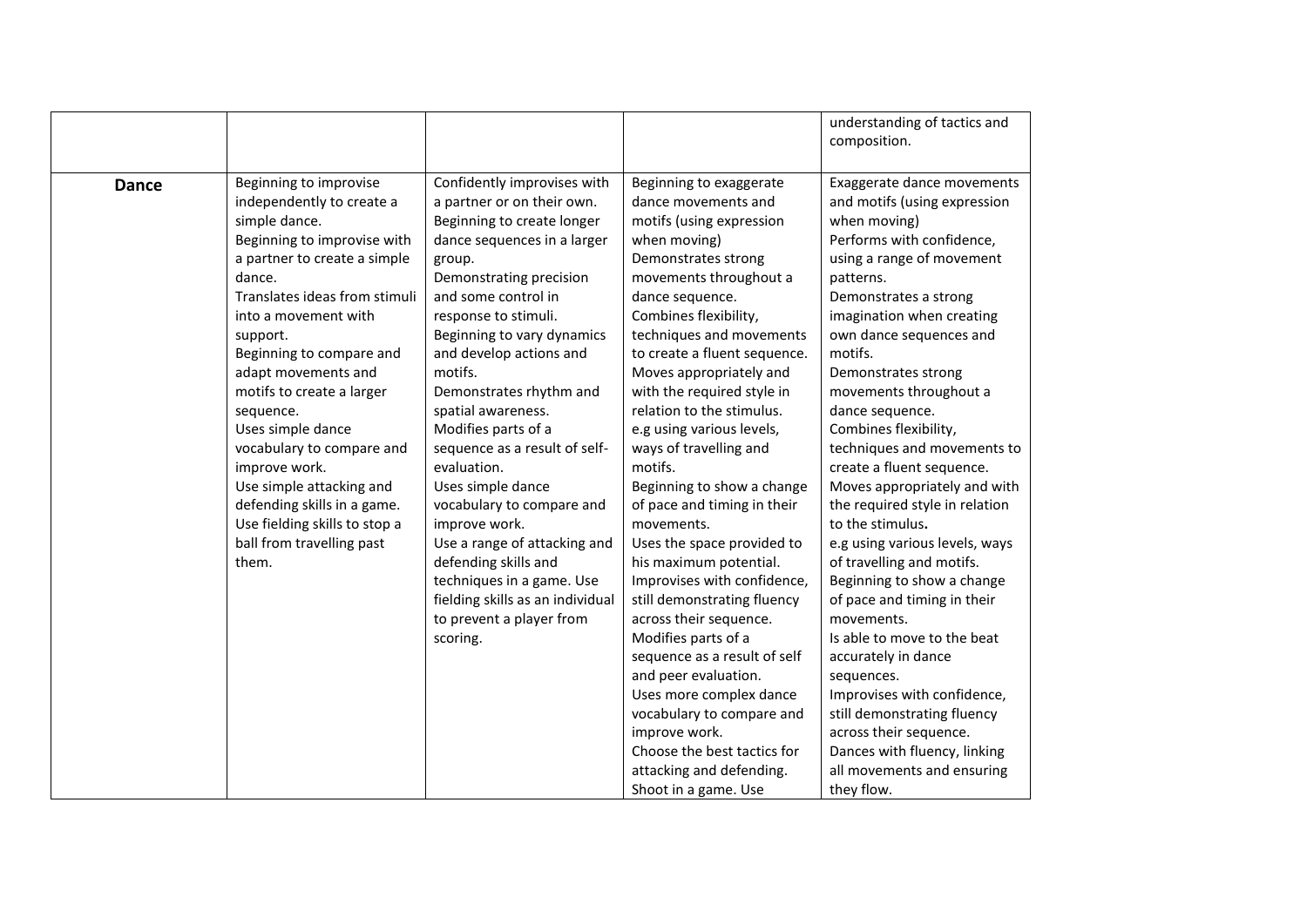|              |                               |                                  |                              | understanding of tactics and<br>composition. |
|--------------|-------------------------------|----------------------------------|------------------------------|----------------------------------------------|
|              |                               |                                  |                              |                                              |
| <b>Dance</b> | Beginning to improvise        | Confidently improvises with      | Beginning to exaggerate      | Exaggerate dance movements                   |
|              | independently to create a     | a partner or on their own.       | dance movements and          | and motifs (using expression                 |
|              | simple dance.                 | Beginning to create longer       | motifs (using expression     | when moving)                                 |
|              | Beginning to improvise with   | dance sequences in a larger      | when moving)                 | Performs with confidence,                    |
|              | a partner to create a simple  | group.                           | Demonstrates strong          | using a range of movement                    |
|              | dance.                        | Demonstrating precision          | movements throughout a       | patterns.                                    |
|              | Translates ideas from stimuli | and some control in              | dance sequence.              | Demonstrates a strong                        |
|              | into a movement with          | response to stimuli.             | Combines flexibility,        | imagination when creating                    |
|              | support.                      | Beginning to vary dynamics       | techniques and movements     | own dance sequences and                      |
|              | Beginning to compare and      | and develop actions and          | to create a fluent sequence. | motifs.                                      |
|              | adapt movements and           | motifs.                          | Moves appropriately and      | Demonstrates strong                          |
|              | motifs to create a larger     | Demonstrates rhythm and          | with the required style in   | movements throughout a                       |
|              | sequence.                     | spatial awareness.               | relation to the stimulus.    | dance sequence.                              |
|              | Uses simple dance             | Modifies parts of a              | e.g using various levels,    | Combines flexibility,                        |
|              | vocabulary to compare and     | sequence as a result of self-    | ways of travelling and       | techniques and movements to                  |
|              | improve work.                 | evaluation.                      | motifs.                      | create a fluent sequence.                    |
|              | Use simple attacking and      | Uses simple dance                | Beginning to show a change   | Moves appropriately and with                 |
|              | defending skills in a game.   | vocabulary to compare and        | of pace and timing in their  | the required style in relation               |
|              | Use fielding skills to stop a | improve work.                    | movements.                   | to the stimulus.                             |
|              | ball from travelling past     | Use a range of attacking and     | Uses the space provided to   | e.g using various levels, ways               |
|              | them.                         | defending skills and             | his maximum potential.       | of travelling and motifs.                    |
|              |                               | techniques in a game. Use        | Improvises with confidence,  | Beginning to show a change                   |
|              |                               | fielding skills as an individual | still demonstrating fluency  | of pace and timing in their                  |
|              |                               | to prevent a player from         | across their sequence.       | movements.                                   |
|              |                               | scoring.                         | Modifies parts of a          | Is able to move to the beat                  |
|              |                               |                                  | sequence as a result of self | accurately in dance                          |
|              |                               |                                  | and peer evaluation.         | sequences.                                   |
|              |                               |                                  | Uses more complex dance      | Improvises with confidence,                  |
|              |                               |                                  | vocabulary to compare and    | still demonstrating fluency                  |
|              |                               |                                  | improve work.                | across their sequence.                       |
|              |                               |                                  | Choose the best tactics for  | Dances with fluency, linking                 |
|              |                               |                                  | attacking and defending.     | all movements and ensuring                   |
|              |                               |                                  | Shoot in a game. Use         | they flow.                                   |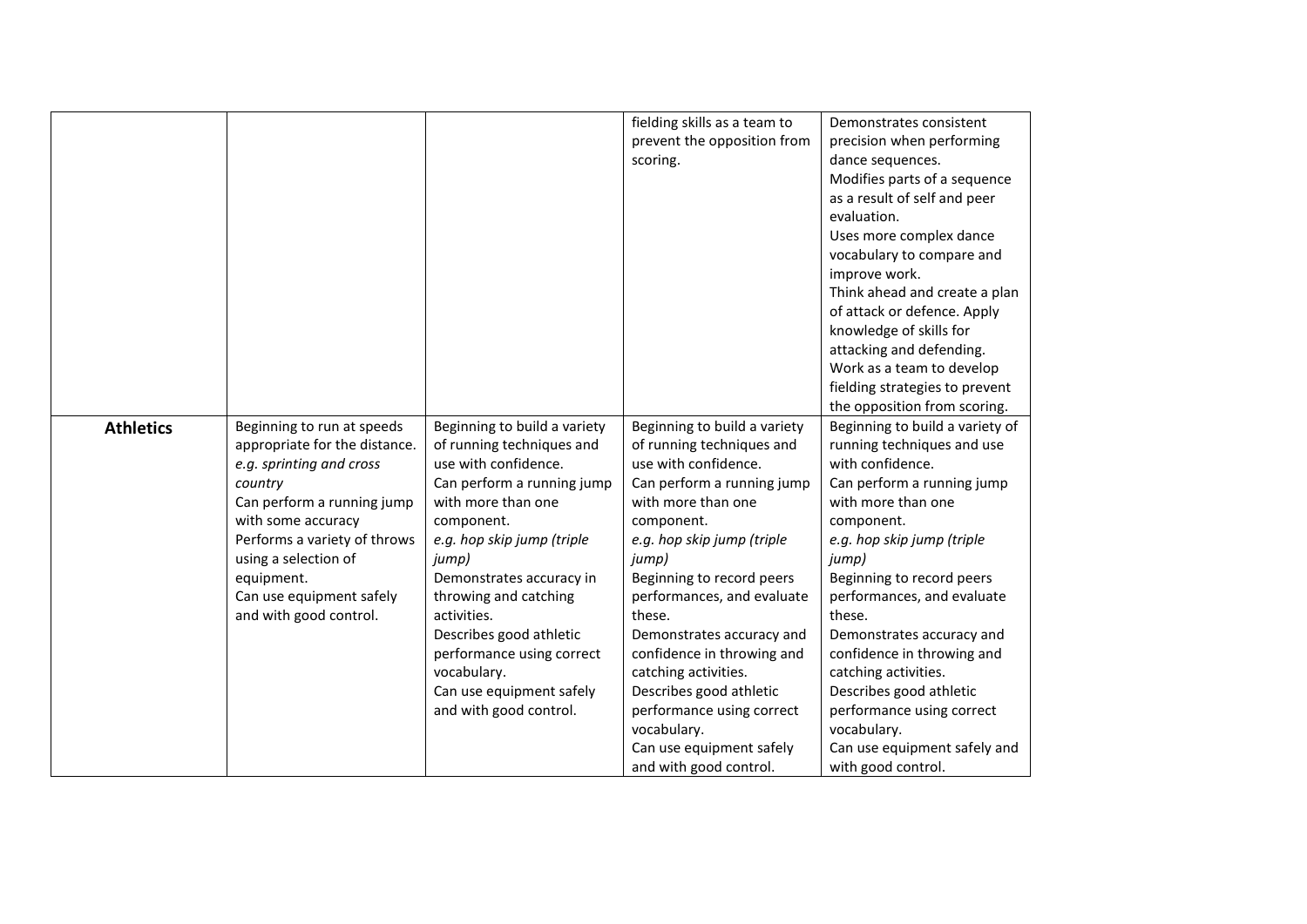|                  |                               |                              | fielding skills as a team to | Demonstrates consistent         |
|------------------|-------------------------------|------------------------------|------------------------------|---------------------------------|
|                  |                               |                              | prevent the opposition from  | precision when performing       |
|                  |                               |                              |                              |                                 |
|                  |                               |                              | scoring.                     | dance sequences.                |
|                  |                               |                              |                              | Modifies parts of a sequence    |
|                  |                               |                              |                              | as a result of self and peer    |
|                  |                               |                              |                              | evaluation.                     |
|                  |                               |                              |                              | Uses more complex dance         |
|                  |                               |                              |                              | vocabulary to compare and       |
|                  |                               |                              |                              | improve work.                   |
|                  |                               |                              |                              | Think ahead and create a plan   |
|                  |                               |                              |                              | of attack or defence. Apply     |
|                  |                               |                              |                              | knowledge of skills for         |
|                  |                               |                              |                              | attacking and defending.        |
|                  |                               |                              |                              | Work as a team to develop       |
|                  |                               |                              |                              | fielding strategies to prevent  |
|                  |                               |                              |                              | the opposition from scoring.    |
| <b>Athletics</b> | Beginning to run at speeds    | Beginning to build a variety | Beginning to build a variety | Beginning to build a variety of |
|                  | appropriate for the distance. | of running techniques and    | of running techniques and    | running techniques and use      |
|                  | e.g. sprinting and cross      | use with confidence.         | use with confidence.         | with confidence.                |
|                  | country                       | Can perform a running jump   | Can perform a running jump   | Can perform a running jump      |
|                  | Can perform a running jump    | with more than one           | with more than one           | with more than one              |
|                  | with some accuracy            | component.                   | component.                   | component.                      |
|                  | Performs a variety of throws  | e.g. hop skip jump (triple   | e.g. hop skip jump (triple   | e.g. hop skip jump (triple      |
|                  | using a selection of          | jump)                        | jump)                        | jump)                           |
|                  | equipment.                    | Demonstrates accuracy in     | Beginning to record peers    | Beginning to record peers       |
|                  | Can use equipment safely      | throwing and catching        | performances, and evaluate   | performances, and evaluate      |
|                  | and with good control.        | activities.                  | these.                       | these.                          |
|                  |                               | Describes good athletic      | Demonstrates accuracy and    | Demonstrates accuracy and       |
|                  |                               | performance using correct    | confidence in throwing and   | confidence in throwing and      |
|                  |                               | vocabulary.                  | catching activities.         | catching activities.            |
|                  |                               | Can use equipment safely     | Describes good athletic      | Describes good athletic         |
|                  |                               | and with good control.       | performance using correct    | performance using correct       |
|                  |                               |                              | vocabulary.                  | vocabulary.                     |
|                  |                               |                              | Can use equipment safely     | Can use equipment safely and    |
|                  |                               |                              | and with good control.       | with good control.              |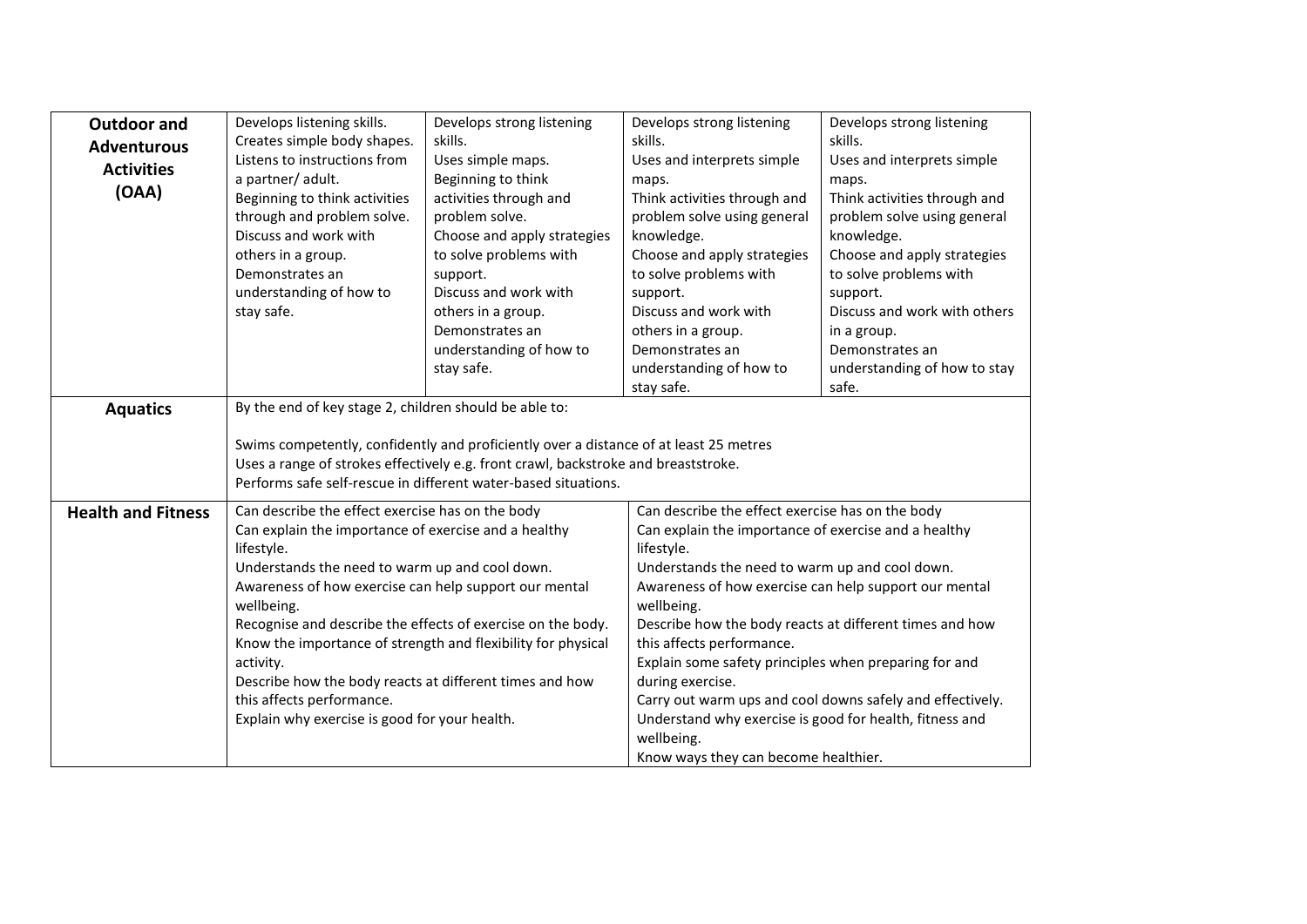| <b>Outdoor and</b>        | Develops listening skills.                                   | Develops strong listening                                                             | Develops strong listening                               | Develops strong listening                                 |
|---------------------------|--------------------------------------------------------------|---------------------------------------------------------------------------------------|---------------------------------------------------------|-----------------------------------------------------------|
|                           | Creates simple body shapes.                                  | skills.                                                                               | skills.                                                 | skills.                                                   |
| <b>Adventurous</b>        | Listens to instructions from                                 | Uses simple maps.                                                                     | Uses and interprets simple                              | Uses and interprets simple                                |
| <b>Activities</b>         | a partner/ adult.                                            | Beginning to think                                                                    | maps.                                                   | maps.                                                     |
| (OAA)                     | Beginning to think activities                                | activities through and                                                                | Think activities through and                            | Think activities through and                              |
|                           | through and problem solve.                                   | problem solve.                                                                        | problem solve using general                             | problem solve using general                               |
|                           | Discuss and work with                                        | Choose and apply strategies                                                           | knowledge.                                              | knowledge.                                                |
|                           | others in a group.                                           | to solve problems with                                                                | Choose and apply strategies                             | Choose and apply strategies                               |
|                           | Demonstrates an                                              | support.                                                                              | to solve problems with                                  | to solve problems with                                    |
|                           | understanding of how to                                      | Discuss and work with                                                                 | support.                                                | support.                                                  |
|                           | stay safe.                                                   | others in a group.                                                                    | Discuss and work with                                   | Discuss and work with others                              |
|                           |                                                              | Demonstrates an                                                                       | others in a group.                                      | in a group.                                               |
|                           |                                                              | understanding of how to                                                               | Demonstrates an                                         | Demonstrates an                                           |
|                           |                                                              | stay safe.                                                                            | understanding of how to                                 | understanding of how to stay                              |
|                           |                                                              |                                                                                       | stay safe.                                              | safe.                                                     |
| <b>Aquatics</b>           | By the end of key stage 2, children should be able to:       |                                                                                       |                                                         |                                                           |
|                           |                                                              |                                                                                       |                                                         |                                                           |
|                           |                                                              | Swims competently, confidently and proficiently over a distance of at least 25 metres |                                                         |                                                           |
|                           |                                                              | Uses a range of strokes effectively e.g. front crawl, backstroke and breaststroke.    |                                                         |                                                           |
|                           |                                                              | Performs safe self-rescue in different water-based situations.                        |                                                         |                                                           |
| <b>Health and Fitness</b> | Can describe the effect exercise has on the body             |                                                                                       | Can describe the effect exercise has on the body        |                                                           |
|                           | Can explain the importance of exercise and a healthy         |                                                                                       | Can explain the importance of exercise and a healthy    |                                                           |
|                           | lifestyle.                                                   |                                                                                       | lifestyle.                                              |                                                           |
|                           | Understands the need to warm up and cool down.               |                                                                                       | Understands the need to warm up and cool down.          |                                                           |
|                           | Awareness of how exercise can help support our mental        |                                                                                       | Awareness of how exercise can help support our mental   |                                                           |
|                           | wellbeing.                                                   |                                                                                       | wellbeing.                                              |                                                           |
|                           | Recognise and describe the effects of exercise on the body.  |                                                                                       | Describe how the body reacts at different times and how |                                                           |
|                           | Know the importance of strength and flexibility for physical |                                                                                       | this affects performance.                               |                                                           |
|                           | activity.                                                    |                                                                                       | Explain some safety principles when preparing for and   |                                                           |
|                           | Describe how the body reacts at different times and how      |                                                                                       | during exercise.                                        |                                                           |
|                           | this affects performance.                                    |                                                                                       |                                                         | Carry out warm ups and cool downs safely and effectively. |
|                           | Explain why exercise is good for your health.                |                                                                                       | Understand why exercise is good for health, fitness and |                                                           |
|                           |                                                              |                                                                                       | wellbeing.                                              |                                                           |
|                           |                                                              |                                                                                       | Know ways they can become healthier.                    |                                                           |